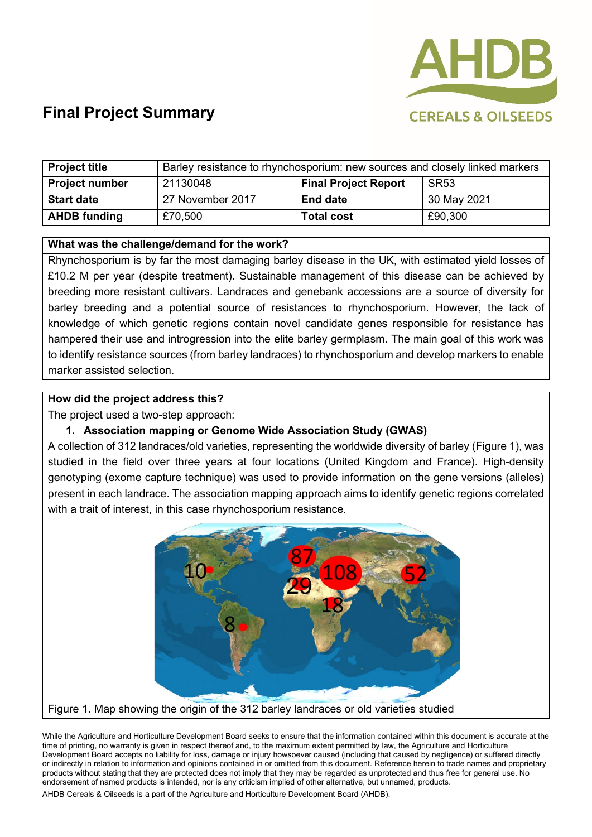

| <b>Project title</b>  | Barley resistance to rhynchosporium: new sources and closely linked markers |                             |                  |
|-----------------------|-----------------------------------------------------------------------------|-----------------------------|------------------|
| <b>Project number</b> | 21130048                                                                    | <b>Final Project Report</b> | SR <sub>53</sub> |
| <b>Start date</b>     | 27 November 2017                                                            | <b>End date</b>             | 30 May 2021      |
| <b>AHDB</b> funding   | £70,500                                                                     | <b>Total cost</b>           | £90,300          |

#### **What was the challenge/demand for the work?**

Rhynchosporium is by far the most damaging barley disease in the UK, with estimated yield losses of £10.2 M per year (despite treatment). Sustainable management of this disease can be achieved by breeding more resistant cultivars. Landraces and genebank accessions are a source of diversity for barley breeding and a potential source of resistances to rhynchosporium. However, the lack of knowledge of which genetic regions contain novel candidate genes responsible for resistance has hampered their use and introgression into the elite barley germplasm. The main goal of this work was to identify resistance sources (from barley landraces) to rhynchosporium and develop markers to enable marker assisted selection.

#### **How did the project address this?**

The project used a two-step approach:

#### **1. Association mapping or Genome Wide Association Study (GWAS)**

A collection of 312 landraces/old varieties, representing the worldwide diversity of barley (Figure 1), was studied in the field over three years at four locations (United Kingdom and France). High-density genotyping (exome capture technique) was used to provide information on the gene versions (alleles) present in each landrace. The association mapping approach aims to identify genetic regions correlated with a trait of interest, in this case rhynchosporium resistance.



Figure 1. Map showing the origin of the 312 barley landraces or old varieties studied

While the Agriculture and Horticulture Development Board seeks to ensure that the information contained within this document is accurate at the time of printing, no warranty is given in respect thereof and, to the maximum extent permitted by law, the Agriculture and Horticulture Development Board accepts no liability for loss, damage or injury howsoever caused (including that caused by negligence) or suffered directly or indirectly in relation to information and opinions contained in or omitted from this document. Reference herein to trade names and proprietary products without stating that they are protected does not imply that they may be regarded as unprotected and thus free for general use. No endorsement of named products is intended, nor is any criticism implied of other alternative, but unnamed, products.

AHDB Cereals & Oilseeds is a part of the Agriculture and Horticulture Development Board (AHDB).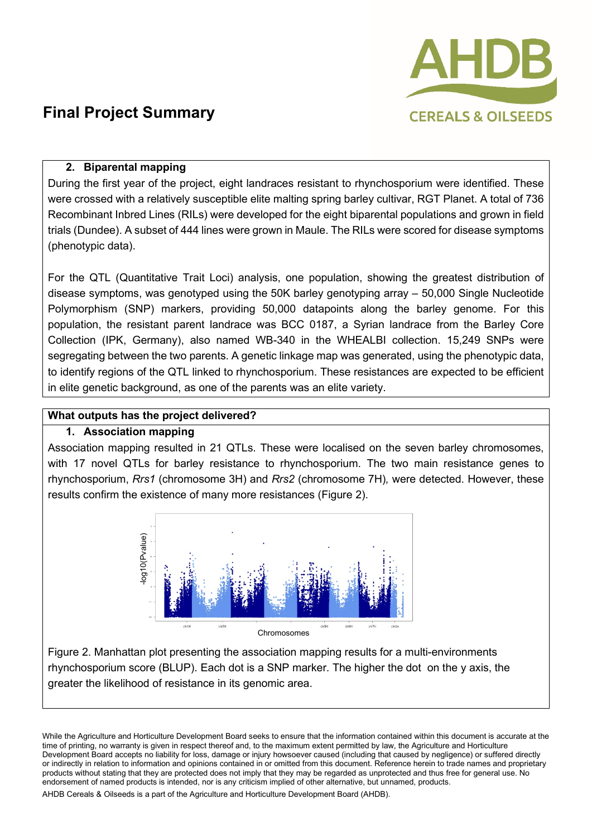

#### **2. Biparental mapping**

During the first year of the project, eight landraces resistant to rhynchosporium were identified. These were crossed with a relatively susceptible elite malting spring barley cultivar, RGT Planet. A total of 736 Recombinant Inbred Lines (RILs) were developed for the eight biparental populations and grown in field trials (Dundee). A subset of 444 lines were grown in Maule. The RILs were scored for disease symptoms (phenotypic data).

For the QTL (Quantitative Trait Loci) analysis, one population, showing the greatest distribution of disease symptoms, was genotyped using the 50K barley genotyping array – 50,000 Single Nucleotide Polymorphism (SNP) markers, providing 50,000 datapoints along the barley genome. For this population, the resistant parent landrace was BCC 0187, a Syrian landrace from the Barley Core Collection (IPK, Germany), also named WB-340 in the WHEALBI collection. 15,249 SNPs were segregating between the two parents. A genetic linkage map was generated, using the phenotypic data, to identify regions of the QTL linked to rhynchosporium. These resistances are expected to be efficient in elite genetic background, as one of the parents was an elite variety.

### **What outputs has the project delivered?**

#### **1. Association mapping**

Association mapping resulted in 21 QTLs. These were localised on the seven barley chromosomes, with 17 novel QTLs for barley resistance to rhynchosporium. The two main resistance genes to rhynchosporium, *Rrs1* (chromosome 3H) and *Rrs2* (chromosome 7H)*,* were detected. However, these results confirm the existence of many more resistances (Figure 2).



Figure 2. Manhattan plot presenting the association mapping results for a multi-environments rhynchosporium score (BLUP). Each dot is a SNP marker. The higher the dot on the y axis, the greater the likelihood of resistance in its genomic area.

While the Agriculture and Horticulture Development Board seeks to ensure that the information contained within this document is accurate at the time of printing, no warranty is given in respect thereof and, to the maximum extent permitted by law, the Agriculture and Horticulture Development Board accepts no liability for loss, damage or injury howsoever caused (including that caused by negligence) or suffered directly or indirectly in relation to information and opinions contained in or omitted from this document. Reference herein to trade names and proprietary products without stating that they are protected does not imply that they may be regarded as unprotected and thus free for general use. No endorsement of named products is intended, nor is any criticism implied of other alternative, but unnamed, products.

AHDB Cereals & Oilseeds is a part of the Agriculture and Horticulture Development Board (AHDB).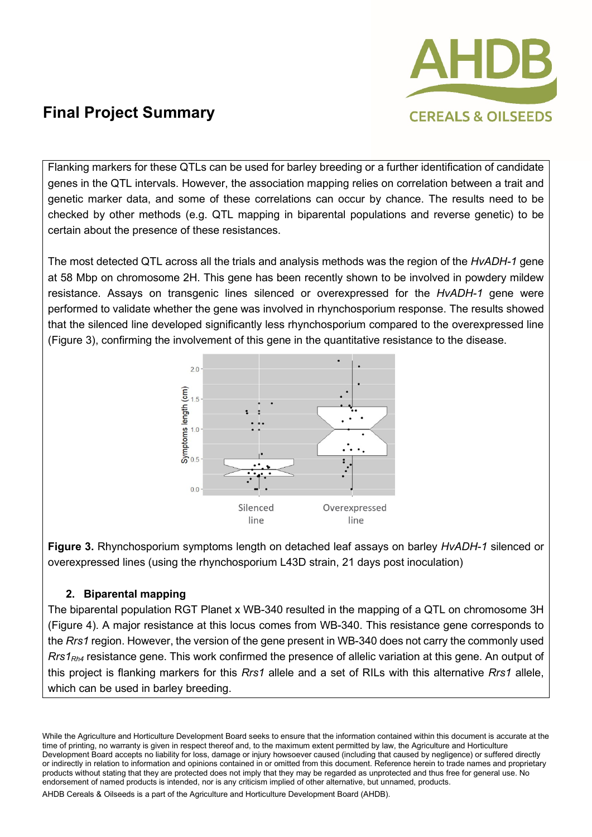

Flanking markers for these QTLs can be used for barley breeding or a further identification of candidate genes in the QTL intervals. However, the association mapping relies on correlation between a trait and genetic marker data, and some of these correlations can occur by chance. The results need to be checked by other methods (e.g. QTL mapping in biparental populations and reverse genetic) to be certain about the presence of these resistances.

The most detected QTL across all the trials and analysis methods was the region of the *HvADH-1* gene at 58 Mbp on chromosome 2H. This gene has been recently shown to be involved in powdery mildew resistance. Assays on transgenic lines silenced or overexpressed for the *HvADH-1* gene were performed to validate whether the gene was involved in rhynchosporium response. The results showed that the silenced line developed significantly less rhynchosporium compared to the overexpressed line (Figure 3), confirming the involvement of this gene in the quantitative resistance to the disease.



**Figure 3.** Rhynchosporium symptoms length on detached leaf assays on barley *HvADH-1* silenced or overexpressed lines (using the rhynchosporium L43D strain, 21 days post inoculation)

### **2. Biparental mapping**

The biparental population RGT Planet x WB-340 resulted in the mapping of a QTL on chromosome 3H (Figure 4). A major resistance at this locus comes from WB-340. This resistance gene corresponds to the *Rrs1* region. However, the version of the gene present in WB-340 does not carry the commonly used *Rrs1<sub>Rh4</sub>* resistance gene. This work confirmed the presence of allelic variation at this gene. An output of this project is flanking markers for this *Rrs1* allele and a set of RILs with this alternative *Rrs1* allele, which can be used in barley breeding.

While the Agriculture and Horticulture Development Board seeks to ensure that the information contained within this document is accurate at the time of printing, no warranty is given in respect thereof and, to the maximum extent permitted by law, the Agriculture and Horticulture Development Board accepts no liability for loss, damage or injury howsoever caused (including that caused by negligence) or suffered directly or indirectly in relation to information and opinions contained in or omitted from this document. Reference herein to trade names and proprietary products without stating that they are protected does not imply that they may be regarded as unprotected and thus free for general use. No endorsement of named products is intended, nor is any criticism implied of other alternative, but unnamed, products.